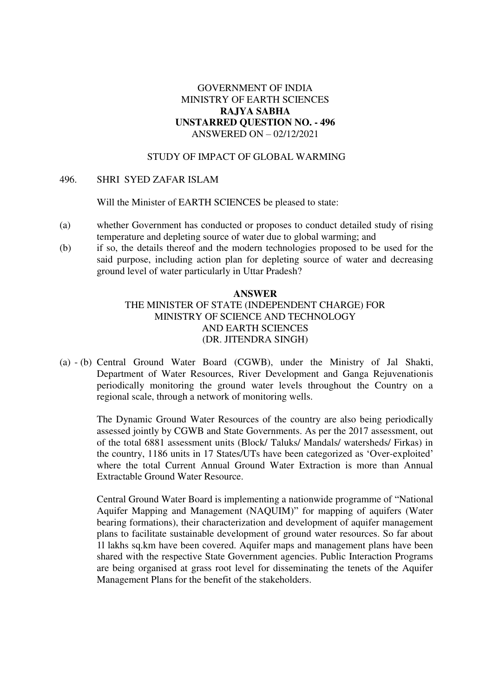## GOVERNMENT OF INDIA MINISTRY OF EARTH SCIENCES **RAJYA SABHA UNSTARRED QUESTION NO. - 496**  ANSWERED ON – 02/12/2021

## STUDY OF IMPACT OF GLOBAL WARMING

## 496. SHRI SYED ZAFAR ISLAM

Will the Minister of EARTH SCIENCES be pleased to state:

- (a) whether Government has conducted or proposes to conduct detailed study of rising temperature and depleting source of water due to global warming; and
- (b) if so, the details thereof and the modern technologies proposed to be used for the said purpose, including action plan for depleting source of water and decreasing ground level of water particularly in Uttar Pradesh?

## **ANSWER**  THE MINISTER OF STATE (INDEPENDENT CHARGE) FOR MINISTRY OF SCIENCE AND TECHNOLOGY AND EARTH SCIENCES (DR. JITENDRA SINGH)

(a) - (b) Central Ground Water Board (CGWB), under the Ministry of Jal Shakti, Department of Water Resources, River Development and Ganga Rejuvenationis periodically monitoring the ground water levels throughout the Country on a regional scale, through a network of monitoring wells.

The Dynamic Ground Water Resources of the country are also being periodically assessed jointly by CGWB and State Governments. As per the 2017 assessment, out of the total 6881 assessment units (Block/ Taluks/ Mandals/ watersheds/ Firkas) in the country, 1186 units in 17 States/UTs have been categorized as 'Over-exploited' where the total Current Annual Ground Water Extraction is more than Annual Extractable Ground Water Resource.

Central Ground Water Board is implementing a nationwide programme of "National Aquifer Mapping and Management (NAQUIM)" for mapping of aquifers (Water bearing formations), their characterization and development of aquifer management plans to facilitate sustainable development of ground water resources. So far about 1l lakhs sq.km have been covered. Aquifer maps and management plans have been shared with the respective State Government agencies. Public Interaction Programs are being organised at grass root level for disseminating the tenets of the Aquifer Management Plans for the benefit of the stakeholders.